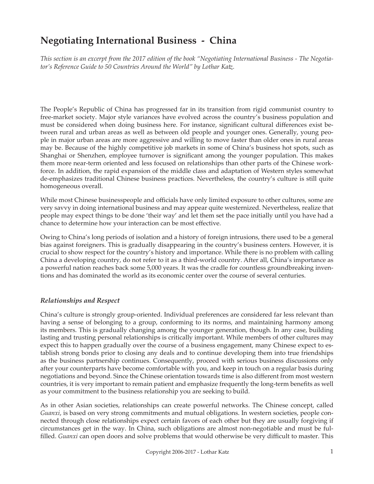# **Negotiating International Business - China**

*This section is an excerpt from the 2017 edition of the book "Negotiating International Business - The Negotiator's Reference Guide to 50 Countries Around the World" by Lothar Katz.*

The People's Republic of China has progressed far in its transition from rigid communist country to free-market society. Major style variances have evolved across the country's business population and must be considered when doing business here. For instance, significant cultural differences exist between rural and urban areas as well as between old people and younger ones. Generally, young people in major urban areas are more aggressive and willing to move faster than older ones in rural areas may be. Because of the highly competitive job markets in some of China's business hot spots, such as Shanghai or Shenzhen, employee turnover is significant among the younger population. This makes them more near-term oriented and less focused on relationships than other parts of the Chinese workforce. In addition, the rapid expansion of the middle class and adaptation of Western styles somewhat de-emphasizes traditional Chinese business practices. Nevertheless, the country's culture is still quite homogeneous overall.

While most Chinese businesspeople and officials have only limited exposure to other cultures, some are very savvy in doing international business and may appear quite westernized. Nevertheless, realize that people may expect things to be done 'their way' and let them set the pace initially until you have had a chance to determine how your interaction can be most effective.

Owing to China's long periods of isolation and a history of foreign intrusions, there used to be a general bias against foreigners. This is gradually disappearing in the country's business centers. However, it is crucial to show respect for the country's history and importance. While there is no problem with calling China a developing country, do not refer to it as a third-world country. After all, China's importance as a powerful nation reaches back some 5,000 years. It was the cradle for countless groundbreaking inventions and has dominated the world as its economic center over the course of several centuries.

## *Relationships and Respect*

China's culture is strongly group-oriented. Individual preferences are considered far less relevant than having a sense of belonging to a group, conforming to its norms, and maintaining harmony among its members. This is gradually changing among the younger generation, though. In any case, building lasting and trusting personal relationships is critically important. While members of other cultures may expect this to happen gradually over the course of a business engagement, many Chinese expect to establish strong bonds prior to closing any deals and to continue developing them into true friendships as the business partnership continues. Consequently, proceed with serious business discussions only after your counterparts have become comfortable with you, and keep in touch on a regular basis during negotiations and beyond. Since the Chinese orientation towards time is also different from most western countries, it is very important to remain patient and emphasize frequently the long-term benefits as well as your commitment to the business relationship you are seeking to build.

As in other Asian societies, relationships can create powerful networks. The Chinese concept, called *Guanxi*, is based on very strong commitments and mutual obligations. In western societies, people connected through close relationships expect certain favors of each other but they are usually forgiving if circumstances get in the way. In China, such obligations are almost non-negotiable and must be fulfilled. *Guanxi* can open doors and solve problems that would otherwise be very difficult to master. This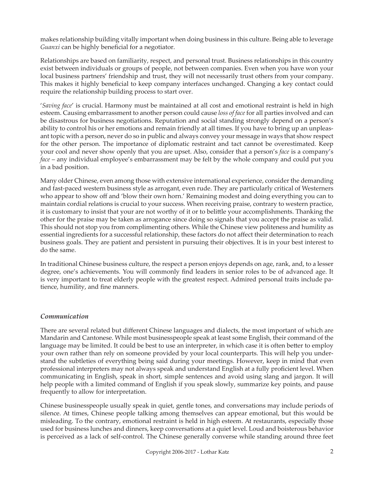makes relationship building vitally important when doing business in this culture. Being able to leverage *Guanxi* can be highly beneficial for a negotiator.

Relationships are based on familiarity, respect, and personal trust. Business relationships in this country exist between individuals or groups of people, not between companies. Even when you have won your local business partners' friendship and trust, they will not necessarily trust others from your company. This makes it highly beneficial to keep company interfaces unchanged. Changing a key contact could require the relationship building process to start over.

'*Saving face*' is crucial. Harmony must be maintained at all cost and emotional restraint is held in high esteem. Causing embarrassment to another person could cause *loss of face* for all parties involved and can be disastrous for business negotiations. Reputation and social standing strongly depend on a person's ability to control his or her emotions and remain friendly at all times. If you have to bring up an unpleasant topic with a person, never do so in public and always convey your message in ways that show respect for the other person. The importance of diplomatic restraint and tact cannot be overestimated. Keep your cool and never show openly that you are upset. Also, consider that a person's *face* is a company's *face* – any individual employee's embarrassment may be felt by the whole company and could put you in a bad position.

Many older Chinese, even among those with extensive international experience, consider the demanding and fast-paced western business style as arrogant, even rude. They are particularly critical of Westerners who appear to show off and 'blow their own horn.' Remaining modest and doing everything you can to maintain cordial relations is crucial to your success. When receiving praise, contrary to western practice, it is customary to insist that your are not worthy of it or to belittle your accomplishments. Thanking the other for the praise may be taken as arrogance since doing so signals that you accept the praise as valid. This should not stop you from complimenting others. While the Chinese view politeness and humility as essential ingredients for a successful relationship, these factors do not affect their determination to reach business goals. They are patient and persistent in pursuing their objectives. It is in your best interest to do the same.

In traditional Chinese business culture, the respect a person enjoys depends on age, rank, and, to a lesser degree, one's achievements. You will commonly find leaders in senior roles to be of advanced age. It is very important to treat elderly people with the greatest respect. Admired personal traits include patience, humility, and fine manners.

## *Communication*

There are several related but different Chinese languages and dialects, the most important of which are Mandarin and Cantonese. While most businesspeople speak at least some English, their command of the language may be limited. It could be best to use an interpreter, in which case it is often better to employ your own rather than rely on someone provided by your local counterparts. This will help you understand the subtleties of everything being said during your meetings. However, keep in mind that even professional interpreters may not always speak and understand English at a fully proficient level. When communicating in English, speak in short, simple sentences and avoid using slang and jargon. It will help people with a limited command of English if you speak slowly, summarize key points, and pause frequently to allow for interpretation.

Chinese businesspeople usually speak in quiet, gentle tones, and conversations may include periods of silence. At times, Chinese people talking among themselves can appear emotional, but this would be misleading. To the contrary, emotional restraint is held in high esteem. At restaurants, especially those used for business lunches and dinners, keep conversations at a quiet level. Loud and boisterous behavior is perceived as a lack of self-control. The Chinese generally converse while standing around three feet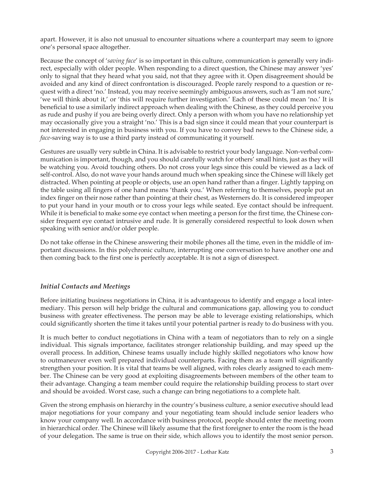apart. However, it is also not unusual to encounter situations where a counterpart may seem to ignore one's personal space altogether.

Because the concept of '*saving face*' is so important in this culture, communication is generally very indirect, especially with older people. When responding to a direct question, the Chinese may answer 'yes' only to signal that they heard what you said, not that they agree with it. Open disagreement should be avoided and any kind of direct confrontation is discouraged. People rarely respond to a question or request with a direct 'no.' Instead, you may receive seemingly ambiguous answers, such as 'I am not sure,' 'we will think about it,' or 'this will require further investigation.' Each of these could mean 'no.' It is beneficial to use a similarly indirect approach when dealing with the Chinese, as they could perceive you as rude and pushy if you are being overly direct. Only a person with whom you have no relationship yet may occasionally give you a straight 'no.' This is a bad sign since it could mean that your counterpart is not interested in engaging in business with you. If you have to convey bad news to the Chinese side, a *face*-saving way is to use a third party instead of communicating it yourself.

Gestures are usually very subtle in China. It is advisable to restrict your body language. Non-verbal communication is important, though, and you should carefully watch for others' small hints, just as they will be watching you. Avoid touching others. Do not cross your legs since this could be viewed as a lack of self-control. Also, do not wave your hands around much when speaking since the Chinese will likely get distracted. When pointing at people or objects, use an open hand rather than a finger. Lightly tapping on the table using all fingers of one hand means 'thank you.' When referring to themselves, people put an index finger on their nose rather than pointing at their chest, as Westerners do. It is considered improper to put your hand in your mouth or to cross your legs while seated. Eye contact should be infrequent. While it is beneficial to make some eye contact when meeting a person for the first time, the Chinese consider frequent eye contact intrusive and rude. It is generally considered respectful to look down when speaking with senior and/or older people.

Do not take offense in the Chinese answering their mobile phones all the time, even in the middle of important discussions. In this polychronic culture, interrupting one conversation to have another one and then coming back to the first one is perfectly acceptable. It is not a sign of disrespect.

## *Initial Contacts and Meetings*

Before initiating business negotiations in China, it is advantageous to identify and engage a local intermediary. This person will help bridge the cultural and communications gap, allowing you to conduct business with greater effectiveness. The person may be able to leverage existing relationships, which could significantly shorten the time it takes until your potential partner is ready to do business with you.

It is much better to conduct negotiations in China with a team of negotiators than to rely on a single individual. This signals importance, facilitates stronger relationship building, and may speed up the overall process. In addition, Chinese teams usually include highly skilled negotiators who know how to outmaneuver even well prepared individual counterparts. Facing them as a team will significantly strengthen your position. It is vital that teams be well aligned, with roles clearly assigned to each member. The Chinese can be very good at exploiting disagreements between members of the other team to their advantage. Changing a team member could require the relationship building process to start over and should be avoided. Worst case, such a change can bring negotiations to a complete halt.

Given the strong emphasis on hierarchy in the country's business culture, a senior executive should lead major negotiations for your company and your negotiating team should include senior leaders who know your company well. In accordance with business protocol, people should enter the meeting room in hierarchical order. The Chinese will likely assume that the first foreigner to enter the room is the head of your delegation. The same is true on their side, which allows you to identify the most senior person.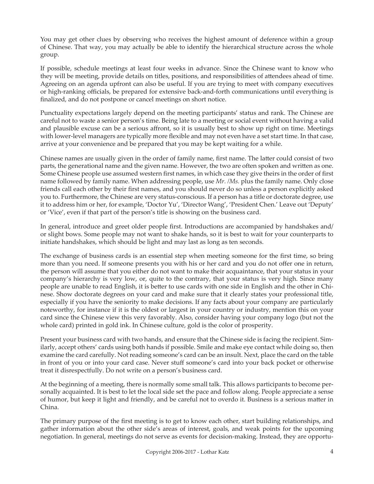You may get other clues by observing who receives the highest amount of deference within a group of Chinese. That way, you may actually be able to identify the hierarchical structure across the whole group.

If possible, schedule meetings at least four weeks in advance. Since the Chinese want to know who they will be meeting, provide details on titles, positions, and responsibilities of attendees ahead of time. Agreeing on an agenda upfront can also be useful. If you are trying to meet with company executives or high-ranking officials, be prepared for extensive back-and-forth communications until everything is finalized, and do not postpone or cancel meetings on short notice.

Punctuality expectations largely depend on the meeting participants' status and rank. The Chinese are careful not to waste a senior person's time. Being late to a meeting or social event without having a valid and plausible excuse can be a serious affront, so it is usually best to show up right on time. Meetings with lower-level managers are typically more flexible and may not even have a set start time. In that case, arrive at your convenience and be prepared that you may be kept waiting for a while.

Chinese names are usually given in the order of family name, first name. The latter could consist of two parts, the generational name and the given name. However, the two are often spoken and written as one. Some Chinese people use assumed western first names, in which case they give theirs in the order of first name followed by family name. When addressing people, use *Mr. /Ms.* plus the family name. Only close friends call each other by their first names, and you should never do so unless a person explicitly asked you to. Furthermore, the Chinese are very status-conscious. If a person has a title or doctorate degree, use it to address him or her, for example, 'Doctor Yu', 'Director Wang', 'President Chen.' Leave out 'Deputy' or 'Vice', even if that part of the person's title is showing on the business card.

In general, introduce and greet older people first. Introductions are accompanied by handshakes and/ or slight bows. Some people may not want to shake hands, so it is best to wait for your counterparts to initiate handshakes, which should be light and may last as long as ten seconds.

The exchange of business cards is an essential step when meeting someone for the first time, so bring more than you need. If someone presents you with his or her card and you do not offer one in return, the person will assume that you either do not want to make their acquaintance, that your status in your company's hierarchy is very low, or, quite to the contrary, that your status is very high. Since many people are unable to read English, it is better to use cards with one side in English and the other in Chinese. Show doctorate degrees on your card and make sure that it clearly states your professional title, especially if you have the seniority to make decisions. If any facts about your company are particularly noteworthy, for instance if it is the oldest or largest in your country or industry, mention this on your card since the Chinese view this very favorably. Also, consider having your company logo (but not the whole card) printed in gold ink. In Chinese culture, gold is the color of prosperity.

Present your business card with two hands, and ensure that the Chinese side is facing the recipient. Similarly, accept others' cards using both hands if possible. Smile and make eye contact while doing so, then examine the card carefully. Not reading someone's card can be an insult. Next, place the card on the table in front of you or into your card case. Never stuff someone's card into your back pocket or otherwise treat it disrespectfully. Do not write on a person's business card.

At the beginning of a meeting, there is normally some small talk. This allows participants to become personally acquainted. It is best to let the local side set the pace and follow along. People appreciate a sense of humor, but keep it light and friendly, and be careful not to overdo it. Business is a serious matter in China.

The primary purpose of the first meeting is to get to know each other, start building relationships, and gather information about the other side's areas of interest, goals, and weak points for the upcoming negotiation. In general, meetings do not serve as events for decision-making. Instead, they are opportu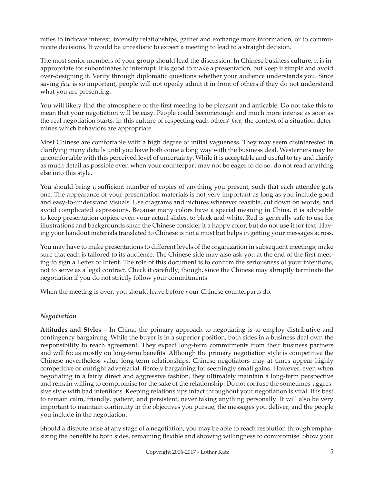nities to indicate interest, intensify relationships, gather and exchange more information, or to communicate decisions. It would be unrealistic to expect a meeting to lead to a straight decision.

The most senior members of your group should lead the discussion. In Chinese business culture, it is inappropriate for subordinates to interrupt. It is good to make a presentation, but keep it simple and avoid over-designing it. Verify through diplomatic questions whether your audience understands you. Since saving *face* is so important, people will not openly admit it in front of others if they do not understand what you are presenting.

You will likely find the atmosphere of the first meeting to be pleasant and amicable. Do not take this to mean that your negotiation will be easy. People could becometough and much more intense as soon as the real negotiation starts. In this culture of respecting each others' *face*, the context of a situation determines which behaviors are appropriate.

Most Chinese are comfortable with a high degree of initial vagueness. They may seem disinterested in clarifying many details until you have both come a long way with the business deal. Westerners may be uncomfortable with this perceived level of uncertainty. While it is acceptable and useful to try and clarify as much detail as possible even when your counterpart may not be eager to do so, do not read anything else into this style.

You should bring a sufficient number of copies of anything you present, such that each attendee gets one. The appearance of your presentation materials is not very important as long as you include good and easy-to-understand visuals. Use diagrams and pictures wherever feasible, cut down on words, and avoid complicated expressions. Because many colors have a special meaning in China, it is advisable to keep presentation copies, even your actual slides, to black and white. Red is generally safe to use for illustrations and backgrounds since the Chinese consider it a happy color, but do not use it for text. Having your handout materials translated to Chinese is not a must but helps in getting your messages across.

You may have to make presentations to different levels of the organization in subsequent meetings; make sure that each is tailored to its audience. The Chinese side may also ask you at the end of the first meeting to sign a Letter of Intent. The role of this document is to confirm the seriousness of your intentions, not to serve as a legal contract. Check it carefully, though, since the Chinese may abruptly terminate the negotiation if you do not strictly follow your commitments.

When the meeting is over, you should leave before your Chinese counterparts do.

## *Negotiation*

**Attitudes and Styles –** In China, the primary approach to negotiating is to employ distributive and contingency bargaining. While the buyer is in a superior position, both sides in a business deal own the responsibility to reach agreement. They expect long-term commitments from their business partners and will focus mostly on long-term benefits. Although the primary negotiation style is competitive the Chinese nevertheless value long-term relationships. Chinese negotiators may at times appear highly competitive or outright adversarial, fiercely bargaining for seemingly small gains. However, even when negotiating in a fairly direct and aggressive fashion, they ultimately maintain a long-term perspective and remain willing to compromise for the sake of the relationship. Do not confuse the sometimes-aggressive style with bad intentions. Keeping relationships intact throughout your negotiation is vital. It is best to remain calm, friendly, patient, and persistent, never taking anything personally. It will also be very important to maintain continuity in the objectives you pursue, the messages you deliver, and the people you include in the negotiation.

Should a dispute arise at any stage of a negotiation, you may be able to reach resolution through emphasizing the benefits to both sides, remaining flexible and showing willingness to compromise. Show your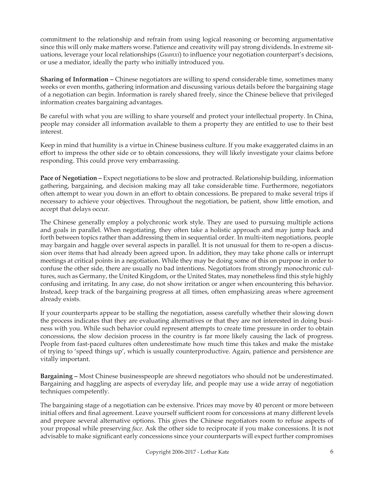commitment to the relationship and refrain from using logical reasoning or becoming argumentative since this will only make matters worse. Patience and creativity will pay strong dividends. In extreme situations, leverage your local relationships (*Guanxi*) to influence your negotiation counterpart's decisions, or use a mediator, ideally the party who initially introduced you.

**Sharing of Information –** Chinese negotiators are willing to spend considerable time, sometimes many weeks or even months, gathering information and discussing various details before the bargaining stage of a negotiation can begin. Information is rarely shared freely, since the Chinese believe that privileged information creates bargaining advantages.

Be careful with what you are willing to share yourself and protect your intellectual property. In China, people may consider all information available to them a property they are entitled to use to their best interest.

Keep in mind that humility is a virtue in Chinese business culture. If you make exaggerated claims in an effort to impress the other side or to obtain concessions, they will likely investigate your claims before responding. This could prove very embarrassing.

Pace of Negotiation – Expect negotiations to be slow and protracted. Relationship building, information gathering, bargaining, and decision making may all take considerable time. Furthermore, negotiators often attempt to wear you down in an effort to obtain concessions. Be prepared to make several trips if necessary to achieve your objectives. Throughout the negotiation, be patient, show little emotion, and accept that delays occur.

The Chinese generally employ a polychronic work style. They are used to pursuing multiple actions and goals in parallel. When negotiating, they often take a holistic approach and may jump back and forth between topics rather than addressing them in sequential order. In multi-item negotiations, people may bargain and haggle over several aspects in parallel. It is not unusual for them to re-open a discussion over items that had already been agreed upon. In addition, they may take phone calls or interrupt meetings at critical points in a negotiation. While they may be doing some of this on purpose in order to confuse the other side, there are usually no bad intentions. Negotiators from strongly monochronic cultures, such as Germany, the United Kingdom, or the United States, may nonetheless find this style highly confusing and irritating. In any case, do not show irritation or anger when encountering this behavior. Instead, keep track of the bargaining progress at all times, often emphasizing areas where agreement already exists.

If your counterparts appear to be stalling the negotiation, assess carefully whether their slowing down the process indicates that they are evaluating alternatives or that they are not interested in doing business with you. While such behavior could represent attempts to create time pressure in order to obtain concessions, the slow decision process in the country is far more likely causing the lack of progress. People from fast-paced cultures often underestimate how much time this takes and make the mistake of trying to 'speed things up', which is usually counterproductive. Again, patience and persistence are vitally important.

**Bargaining –** Most Chinese businesspeople are shrewd negotiators who should not be underestimated. Bargaining and haggling are aspects of everyday life, and people may use a wide array of negotiation techniques competently.

The bargaining stage of a negotiation can be extensive. Prices may move by 40 percent or more between initial offers and final agreement. Leave yourself sufficient room for concessions at many different levels and prepare several alternative options. This gives the Chinese negotiators room to refuse aspects of your proposal while preserving *face*. Ask the other side to reciprocate if you make concessions. It is not advisable to make significant early concessions since your counterparts will expect further compromises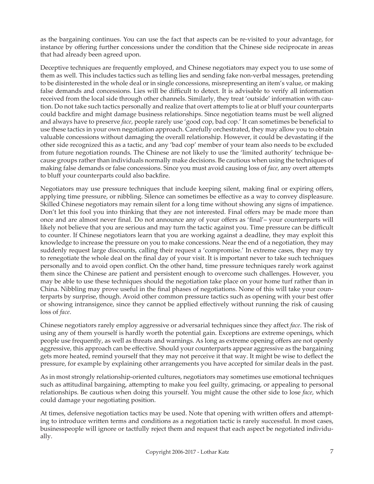as the bargaining continues. You can use the fact that aspects can be re-visited to your advantage, for instance by offering further concessions under the condition that the Chinese side reciprocate in areas that had already been agreed upon.

Deceptive techniques are frequently employed, and Chinese negotiators may expect you to use some of them as well. This includes tactics such as telling lies and sending fake non-verbal messages, pretending to be disinterested in the whole deal or in single concessions, misrepresenting an item's value, or making false demands and concessions. Lies will be difficult to detect. It is advisable to verify all information received from the local side through other channels. Similarly, they treat 'outside' information with caution. Do not take such tactics personally and realize that overt attempts to lie at or bluff your counterparts could backfire and might damage business relationships. Since negotiation teams must be well aligned and always have to preserve *face*, people rarely use 'good cop, bad cop.' It can sometimes be beneficial to use these tactics in your own negotiation approach. Carefully orchestrated, they may allow you to obtain valuable concessions without damaging the overall relationship. However, it could be devastating if the other side recognized this as a tactic, and any 'bad cop' member of your team also needs to be excluded from future negotiation rounds. The Chinese are not likely to use the 'limited authority' technique because groups rather than individuals normally make decisions. Be cautious when using the techniques of making false demands or false concessions. Since you must avoid causing loss of *face*, any overt attempts to bluff your counterparts could also backfire.

Negotiators may use pressure techniques that include keeping silent, making final or expiring offers, applying time pressure, or nibbling. Silence can sometimes be effective as a way to convey displeasure. Skilled Chinese negotiators may remain silent for a long time without showing any signs of impatience. Don't let this fool you into thinking that they are not interested. Final offers may be made more than once and are almost never final. Do not announce any of your offers as 'final'– your counterparts will likely not believe that you are serious and may turn the tactic against you. Time pressure can be difficult to counter. If Chinese negotiators learn that you are working against a deadline, they may exploit this knowledge to increase the pressure on you to make concessions. Near the end of a negotiation, they may suddenly request large discounts, calling their request a 'compromise.' In extreme cases, they may try to renegotiate the whole deal on the final day of your visit. It is important never to take such techniques personally and to avoid open conflict. On the other hand, time pressure techniques rarely work against them since the Chinese are patient and persistent enough to overcome such challenges. However, you may be able to use these techniques should the negotiation take place on your home turf rather than in China. Nibbling may prove useful in the final phases of negotiations. None of this will take your counterparts by surprise, though. Avoid other common pressure tactics such as opening with your best offer or showing intransigence, since they cannot be applied effectively without running the risk of causing loss of *face*.

Chinese negotiators rarely employ aggressive or adversarial techniques since they affect *face*. The risk of using any of them yourself is hardly worth the potential gain. Exceptions are extreme openings, which people use frequently, as well as threats and warnings. As long as extreme opening offers are not openly aggressive, this approach can be effective. Should your counterparts appear aggressive as the bargaining gets more heated, remind yourself that they may not perceive it that way. It might be wise to deflect the pressure, for example by explaining other arrangements you have accepted for similar deals in the past.

As in most strongly relationship-oriented cultures, negotiators may sometimes use emotional techniques such as attitudinal bargaining, attempting to make you feel guilty, grimacing, or appealing to personal relationships. Be cautious when doing this yourself. You might cause the other side to lose *face*, which could damage your negotiating position.

At times, defensive negotiation tactics may be used. Note that opening with written offers and attempting to introduce written terms and conditions as a negotiation tactic is rarely successful. In most cases, businesspeople will ignore or tactfully reject them and request that each aspect be negotiated individually.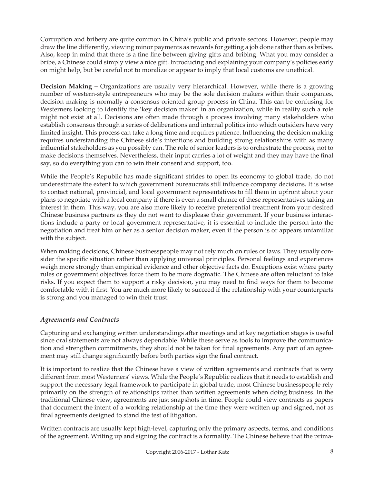Corruption and bribery are quite common in China's public and private sectors. However, people may draw the line differently, viewing minor payments as rewards for getting a job done rather than as bribes. Also, keep in mind that there is a fine line between giving gifts and bribing. What you may consider a bribe, a Chinese could simply view a nice gift. Introducing and explaining your company's policies early on might help, but be careful not to moralize or appear to imply that local customs are unethical.

**Decision Making –** Organizations are usually very hierarchical. However, while there is a growing number of western-style entrepreneurs who may be the sole decision makers within their companies, decision making is normally a consensus-oriented group process in China. This can be confusing for Westerners looking to identify the 'key decision maker' in an organization, while in reality such a role might not exist at all. Decisions are often made through a process involving many stakeholders who establish consensus through a series of deliberations and internal politics into which outsiders have very limited insight. This process can take a long time and requires patience. Influencing the decision making requires understanding the Chinese side's intentions and building strong relationships with as many influential stakeholders as you possibly can. The role of senior leaders is to orchestrate the process, not to make decisions themselves. Nevertheless, their input carries a lot of weight and they may have the final say, so do everything you can to win their consent and support, too.

While the People's Republic has made significant strides to open its economy to global trade, do not underestimate the extent to which government bureaucrats still influence company decisions. It is wise to contact national, provincial, and local government representatives to fill them in upfront about your plans to negotiate with a local company if there is even a small chance of these representatives taking an interest in them. This way, you are also more likely to receive preferential treatment from your desired Chinese business partners as they do not want to displease their government. If your business interactions include a party or local government representative, it is essential to include the person into the negotiation and treat him or her as a senior decision maker, even if the person is or appears unfamiliar with the subject.

When making decisions, Chinese businesspeople may not rely much on rules or laws. They usually consider the specific situation rather than applying universal principles. Personal feelings and experiences weigh more strongly than empirical evidence and other objective facts do. Exceptions exist where party rules or government objectives force them to be more dogmatic. The Chinese are often reluctant to take risks. If you expect them to support a risky decision, you may need to find ways for them to become comfortable with it first. You are much more likely to succeed if the relationship with your counterparts is strong and you managed to win their trust.

## *Agreements and Contracts*

Capturing and exchanging written understandings after meetings and at key negotiation stages is useful since oral statements are not always dependable. While these serve as tools to improve the communication and strengthen commitments, they should not be taken for final agreements. Any part of an agreement may still change significantly before both parties sign the final contract.

It is important to realize that the Chinese have a view of written agreements and contracts that is very different from most Westerners' views. While the People's Republic realizes that it needs to establish and support the necessary legal framework to participate in global trade, most Chinese businesspeople rely primarily on the strength of relationships rather than written agreements when doing business. In the traditional Chinese view, agreements are just snapshots in time. People could view contracts as papers that document the intent of a working relationship at the time they were written up and signed, not as final agreements designed to stand the test of litigation.

Written contracts are usually kept high-level, capturing only the primary aspects, terms, and conditions of the agreement. Writing up and signing the contract is a formality. The Chinese believe that the prima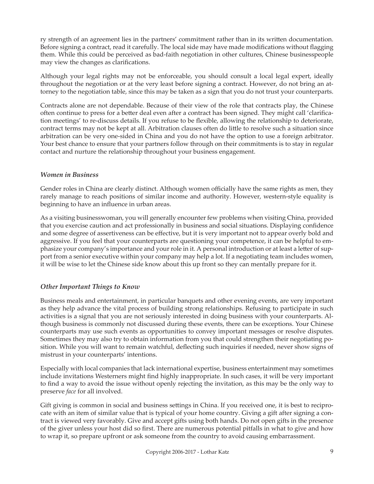ry strength of an agreement lies in the partners' commitment rather than in its written documentation. Before signing a contract, read it carefully. The local side may have made modifications without flagging them. While this could be perceived as bad-faith negotiation in other cultures, Chinese businesspeople may view the changes as clarifications.

Although your legal rights may not be enforceable, you should consult a local legal expert, ideally throughout the negotiation or at the very least before signing a contract. However, do not bring an attorney to the negotiation table, since this may be taken as a sign that you do not trust your counterparts.

Contracts alone are not dependable. Because of their view of the role that contracts play, the Chinese often continue to press for a better deal even after a contract has been signed. They might call 'clarification meetings' to re-discuss details. If you refuse to be flexible, allowing the relationship to deteriorate, contract terms may not be kept at all. Arbitration clauses often do little to resolve such a situation since arbitration can be very one-sided in China and you do not have the option to use a foreign arbitrator. Your best chance to ensure that your partners follow through on their commitments is to stay in regular contact and nurture the relationship throughout your business engagement.

#### *Women in Business*

Gender roles in China are clearly distinct. Although women officially have the same rights as men, they rarely manage to reach positions of similar income and authority. However, western-style equality is beginning to have an influence in urban areas.

As a visiting businesswoman, you will generally encounter few problems when visiting China, provided that you exercise caution and act professionally in business and social situations. Displaying confidence and some degree of assertiveness can be effective, but it is very important not to appear overly bold and aggressive. If you feel that your counterparts are questioning your competence, it can be helpful to emphasize your company's importance and your role in it. A personal introduction or at least a letter of support from a senior executive within your company may help a lot. If a negotiating team includes women, it will be wise to let the Chinese side know about this up front so they can mentally prepare for it.

## *Other Important Things to Know*

Business meals and entertainment, in particular banquets and other evening events, are very important as they help advance the vital process of building strong relationships. Refusing to participate in such activities is a signal that you are not seriously interested in doing business with your counterparts. Although business is commonly not discussed during these events, there can be exceptions. Your Chinese counterparts may use such events as opportunities to convey important messages or resolve disputes. Sometimes they may also try to obtain information from you that could strengthen their negotiating position. While you will want to remain watchful, deflecting such inquiries if needed, never show signs of mistrust in your counterparts' intentions.

Especially with local companies that lack international expertise, business entertainment may sometimes include invitations Westerners might find highly inappropriate. In such cases, it will be very important to find a way to avoid the issue without openly rejecting the invitation, as this may be the only way to preserve *face* for all involved.

Gift giving is common in social and business settings in China. If you received one, it is best to reciprocate with an item of similar value that is typical of your home country. Giving a gift after signing a contract is viewed very favorably. Give and accept gifts using both hands. Do not open gifts in the presence of the giver unless your host did so first. There are numerous potential pitfalls in what to give and how to wrap it, so prepare upfront or ask someone from the country to avoid causing embarrassment.